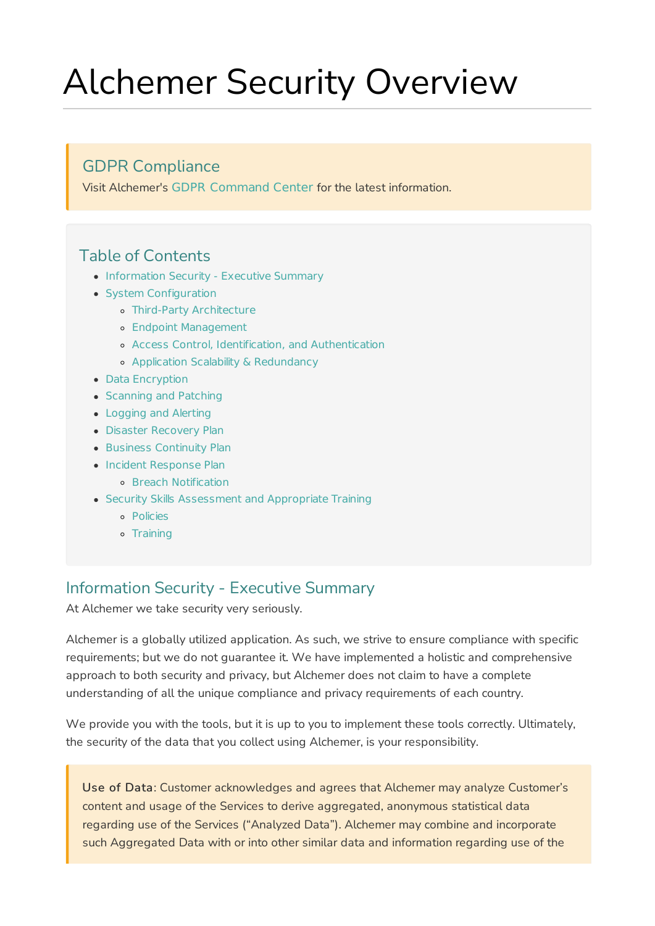# Alchemer Security Overview

# GDPR Compliance

Visit Alchemer's GDPR Command Center for the latest information.

# Table of Contents

- Information Security Executive Summary
- System Configuration
	- Third-Party Architecture
	- Endpoint Management
	- Access Control, Identification, and Authentication
	- Application Scalability & Redundancy
- Data Encryption
- Scanning and Patching
- Logging and Alerting
- Disaster Recovery Plan
- Business Continuity Plan
- Incident Response Plan
	- Breach Notification
- **Security Skills Assessment and Appropriate Training** 
	- Policies
	- o Training

## Information Security - Executive Summary

At Alchemer we take security very seriously.

Alchemer is a globally utilized application. As such, we strive to ensure compliance with specific requirements; but we do not guarantee it. We have implemented a holistic and comprehensive approach to both security and privacy, but Alchemer does not claim to have a complete understanding of all the unique compliance and privacy requirements of each country.

We provide you with the tools, but it is up to you to implement these tools correctly. Ultimately, the security of the data that you collect using Alchemer, is your responsibility.

Use of Data: Customer acknowledges and agrees that Alchemer may analyze Customer's content and usage of the Services to derive aggregated, anonymous statistical data regarding use of the Services ("Analyzed Data"). Alchemer may combine and incorporate such Aggregated Data with or into other similar data and information regarding use of the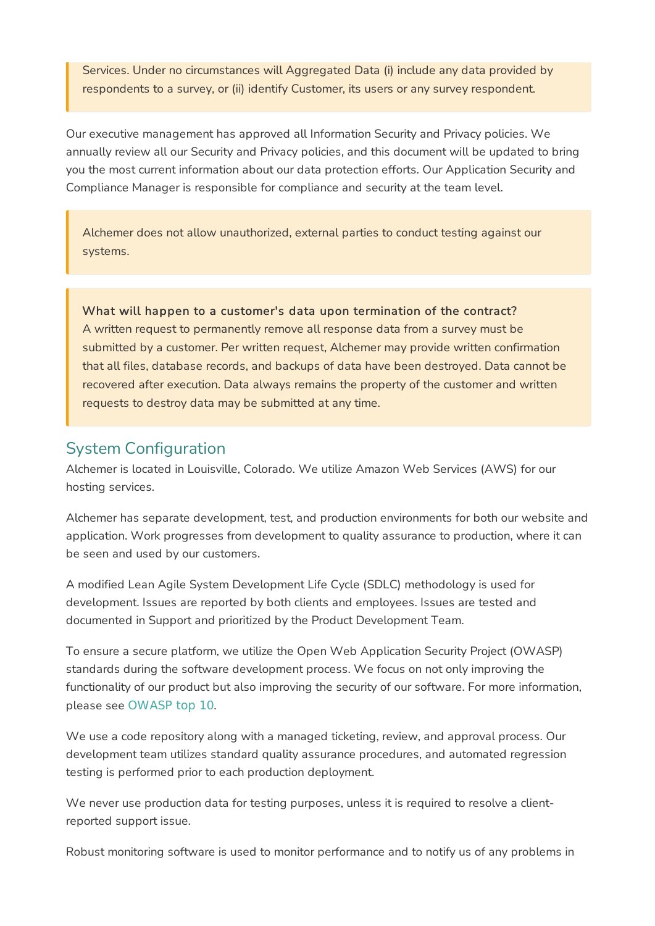Services. Under no circumstances will Aggregated Data (i) include any data provided by respondents to a survey, or (ii) identify Customer, its users or any survey respondent.

Our executive management has approved all Information Security and Privacy policies. We annually review all our Security and Privacy policies, and this document will be updated to bring you the most current information about our data protection efforts. Our Application Security and Compliance Manager is responsible for compliance and security at the team level.

Alchemer does not allow unauthorized, external parties to conduct testing against our systems.

#### What will happen to a customer's data upon termination of the contract?

A written request to permanently remove all response data from a survey must be submitted by a customer. Per written request, Alchemer may provide written confirmation that all files, database records, and backups of data have been destroyed. Data cannot be recovered after execution. Data always remains the property of the customer and written requests to destroy data may be submitted at any time.

## System Configuration

Alchemer is located in Louisville, Colorado. We utilize Amazon Web Services (AWS) for our hosting services.

Alchemer has separate development, test, and production environments for both our website and application. Work progresses from development to quality assurance to production, where it can be seen and used by our customers.

A modified Lean Agile System Development Life Cycle (SDLC) methodology is used for development. Issues are reported by both clients and employees. Issues are tested and documented in Support and prioritized by the Product Development Team.

To ensure a secure platform, we utilize the Open Web Application Security Project (OWASP) standards during the software development process. We focus on not only improving the functionality of our product but also improving the security of our software. For more information, please see OWASP top 10.

We use a code repository along with a managed ticketing, review, and approval process. Our development team utilizes standard quality assurance procedures, and automated regression testing is performed prior to each production deployment.

We never use production data for testing purposes, unless it is required to resolve a clientreported support issue.

Robust monitoring software is used to monitor performance and to notify us of any problems in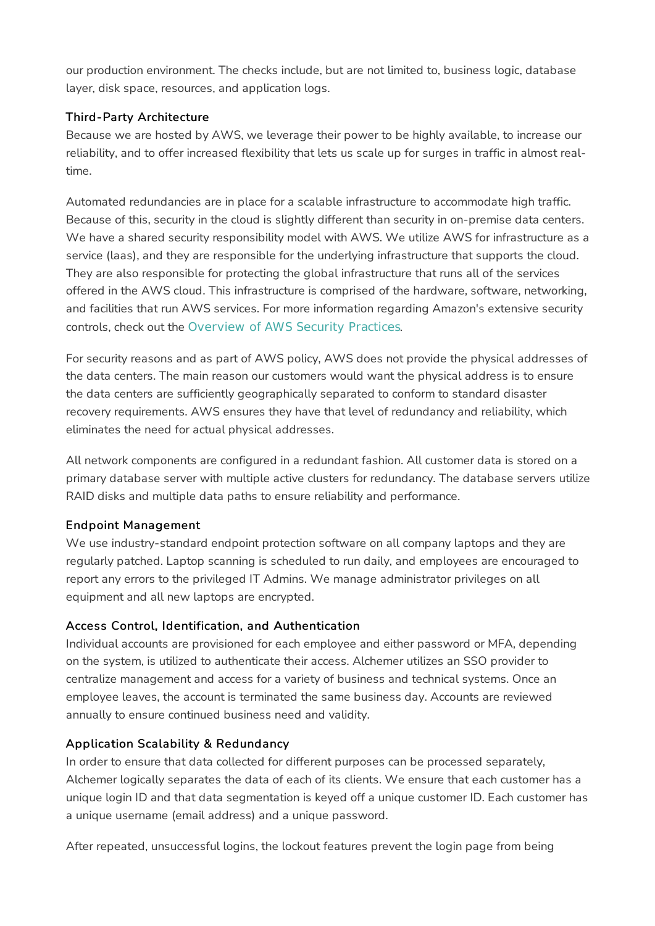our production environment. The checks include, but are not limited to, business logic, database layer, disk space, resources, and application logs.

## Third-Party Architecture

Because we are hosted by AWS, we leverage their power to be highly available, to increase our reliability, and to offer increased flexibility that lets us scale up for surges in traffic in almost realtime.

Automated redundancies are in place for a scalable infrastructure to accommodate high traffic. Because of this, security in the cloud is slightly different than security in on-premise data centers. We have a shared security responsibility model with AWS. We utilize AWS for infrastructure as a service (laas), and they are responsible for the underlying infrastructure that supports the cloud. They are also responsible for protecting the global infrastructure that runs all of the services offered in the AWS cloud. This infrastructure is comprised of the hardware, software, networking, and facilities that run AWS services. For more information regarding Amazon's extensive security controls, check out the Overview of AWS Security Practices.

For security reasons and as part of AWS policy, AWS does not provide the physical addresses of the data centers. The main reason our customers would want the physical address is to ensure the data centers are sufficiently geographically separated to conform to standard disaster recovery requirements. AWS ensures they have that level of redundancy and reliability, which eliminates the need for actual physical addresses.

All network components are configured in a redundant fashion. All customer data is stored on a primary database server with multiple active clusters for redundancy. The database servers utilize RAID disks and multiple data paths to ensure reliability and performance.

### Endpoint Management

We use industry-standard endpoint protection software on all company laptops and they are regularly patched. Laptop scanning is scheduled to run daily, and employees are encouraged to report any errors to the privileged IT Admins. We manage administrator privileges on all equipment and all new laptops are encrypted.

## Access Control, Identification, and Authentication

Individual accounts are provisioned for each employee and either password or MFA, depending on the system, is utilized to authenticate their access. Alchemer utilizes an SSO provider to centralize management and access for a variety of business and technical systems. Once an employee leaves, the account is terminated the same business day. Accounts are reviewed annually to ensure continued business need and validity.

## Application Scalability & Redundancy

In order to ensure that data collected for different purposes can be processed separately, Alchemer logically separates the data of each of its clients. We ensure that each customer has a unique login ID and that data segmentation is keyed off a unique customer ID. Each customer has a unique username (email address) and a unique password.

After repeated, unsuccessful logins, the lockout features prevent the login page from being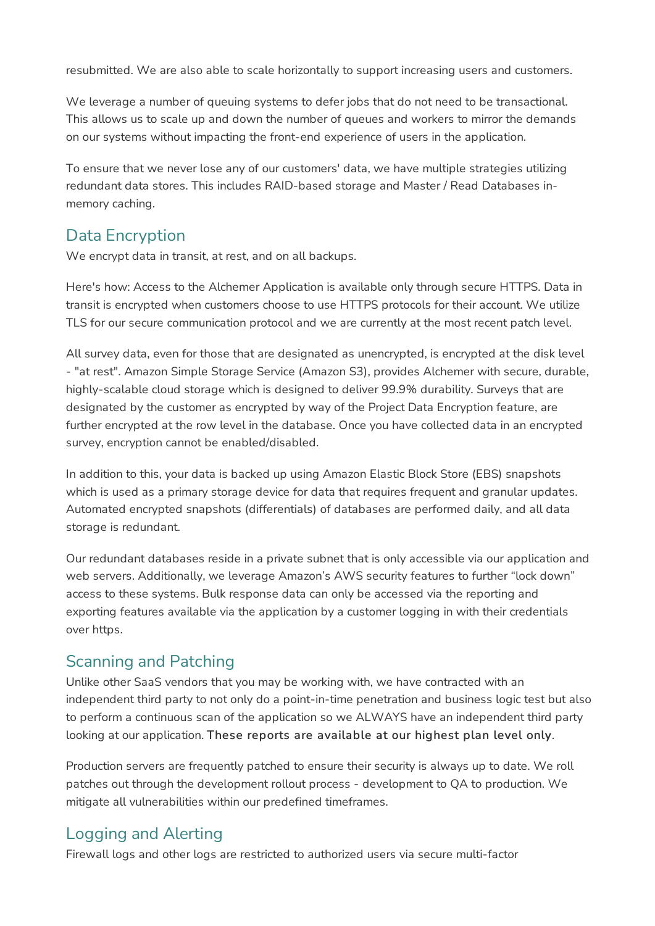resubmitted. We are also able to scale horizontally to support increasing users and customers.

We leverage a number of queuing systems to defer jobs that do not need to be transactional. This allows us to scale up and down the number of queues and workers to mirror the demands on our systems without impacting the front-end experience of users in the application.

To ensure that we never lose any of our customers' data, we have multiple strategies utilizing redundant data stores. This includes RAID-based storage and Master / Read Databases inmemory caching.

## Data Encryption

We encrypt data in transit, at rest, and on all backups.

Here's how: Access to the Alchemer Application is available only through secure HTTPS. Data in transit is encrypted when customers choose to use HTTPS protocols for their account. We utilize TLS for our secure communication protocol and we are currently at the most recent patch level.

All survey data, even for those that are designated as unencrypted, is encrypted at the disk level - "at rest". Amazon Simple Storage Service (Amazon S3), provides Alchemer with secure, durable, highly-scalable cloud storage which is designed to deliver 99.9% durability. Surveys that are designated by the customer as encrypted by way of the Project Data Encryption feature, are further encrypted at the row level in the database. Once you have collected data in an encrypted survey, encryption cannot be enabled/disabled.

In addition to this, your data is backed up using Amazon Elastic Block Store (EBS) snapshots which is used as a primary storage device for data that requires frequent and granular updates. Automated encrypted snapshots (differentials) of databases are performed daily, and all data storage is redundant.

Our redundant databases reside in a private subnet that is only accessible via our application and web servers. Additionally, we leverage Amazon's AWS security features to further "lock down" access to these systems. Bulk response data can only be accessed via the reporting and exporting features available via the application by a customer logging in with their credentials over https.

## Scanning and Patching

Unlike other SaaS vendors that you may be working with, we have contracted with an independent third party to not only do a point-in-time penetration and business logic test but also to perform a continuous scan of the application so we ALWAYS have an independent third party looking at our application. These reports are available at our highest plan level only.

Production servers are frequently patched to ensure their security is always up to date. We roll patches out through the development rollout process - development to QA to production. We mitigate all vulnerabilities within our predefined timeframes.

## Logging and Alerting

Firewall logs and other logs are restricted to authorized users via secure multi-factor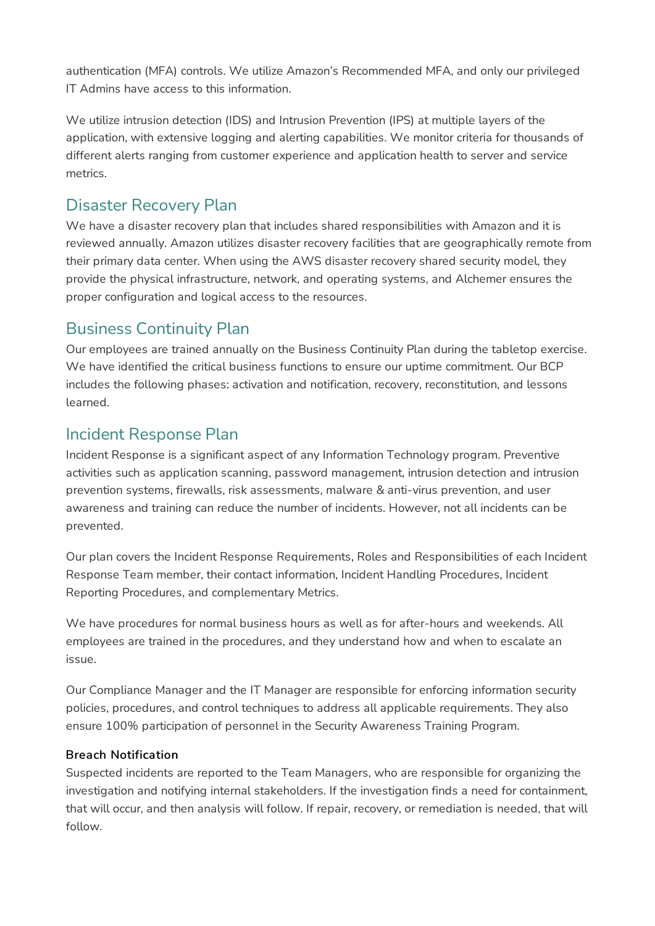authentication (MFA) controls. We utilize Amazon's Recommended MFA, and only our privileged IT Admins have access to this information.

We utilize intrusion detection (IDS) and Intrusion Prevention (IPS) at multiple layers of the application, with extensive logging and alerting capabilities. We monitor criteria for thousands of different alerts ranging from customer experience and application health to server and service metrics.

# Disaster Recovery Plan

We have a disaster recovery plan that includes shared responsibilities with Amazon and it is reviewed annually. Amazon utilizes disaster recovery facilities that are geographically remote from their primary data center. When using the AWS disaster recovery shared security model, they provide the physical infrastructure, network, and operating systems, and Alchemer ensures the proper configuration and logical access to the resources.

# Business Continuity Plan

Our employees are trained annually on the Business Continuity Plan during the tabletop exercise. We have identified the critical business functions to ensure our uptime commitment. Our BCP includes the following phases: activation and notification, recovery, reconstitution, and lessons learned.

# Incident Response Plan

Incident Response is a significant aspect of any Information Technology program. Preventive activities such as application scanning, password management, intrusion detection and intrusion prevention systems, firewalls, risk assessments, malware & anti-virus prevention, and user awareness and training can reduce the number of incidents. However, not all incidents can be prevented.

Our plan covers the Incident Response Requirements, Roles and Responsibilities of each Incident Response Team member, their contact information, Incident Handling Procedures, Incident Reporting Procedures, and complementary Metrics.

We have procedures for normal business hours as well as for after-hours and weekends. All employees are trained in the procedures, and they understand how and when to escalate an issue.

Our Compliance Manager and the IT Manager are responsible for enforcing information security policies, procedures, and control techniques to address all applicable requirements. They also ensure 100% participation of personnel in the Security Awareness Training Program.

### Breach Notification

Suspected incidents are reported to the Team Managers, who are responsible for organizing the investigation and notifying internal stakeholders. If the investigation finds a need for containment, that will occur, and then analysis will follow. If repair, recovery, or remediation is needed, that will follow.